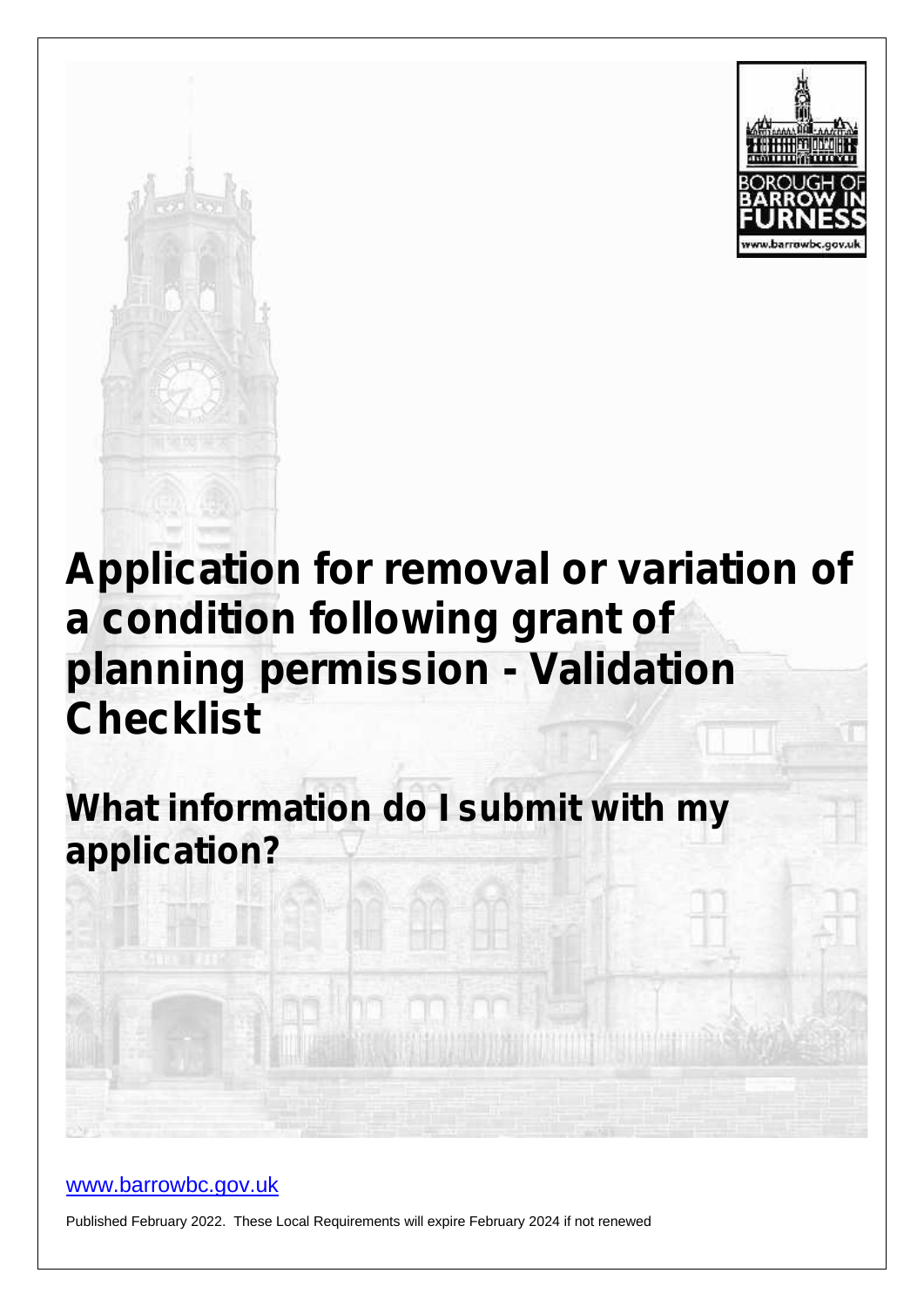



# **Application for removal or variation of a condition following grant of planning permission - Validation Checklist**

**What information do I submit with my application?**

#### www.barrowbc.gov.uk

Published February 2022. These Local Requirements will expire February 2024 if not renewed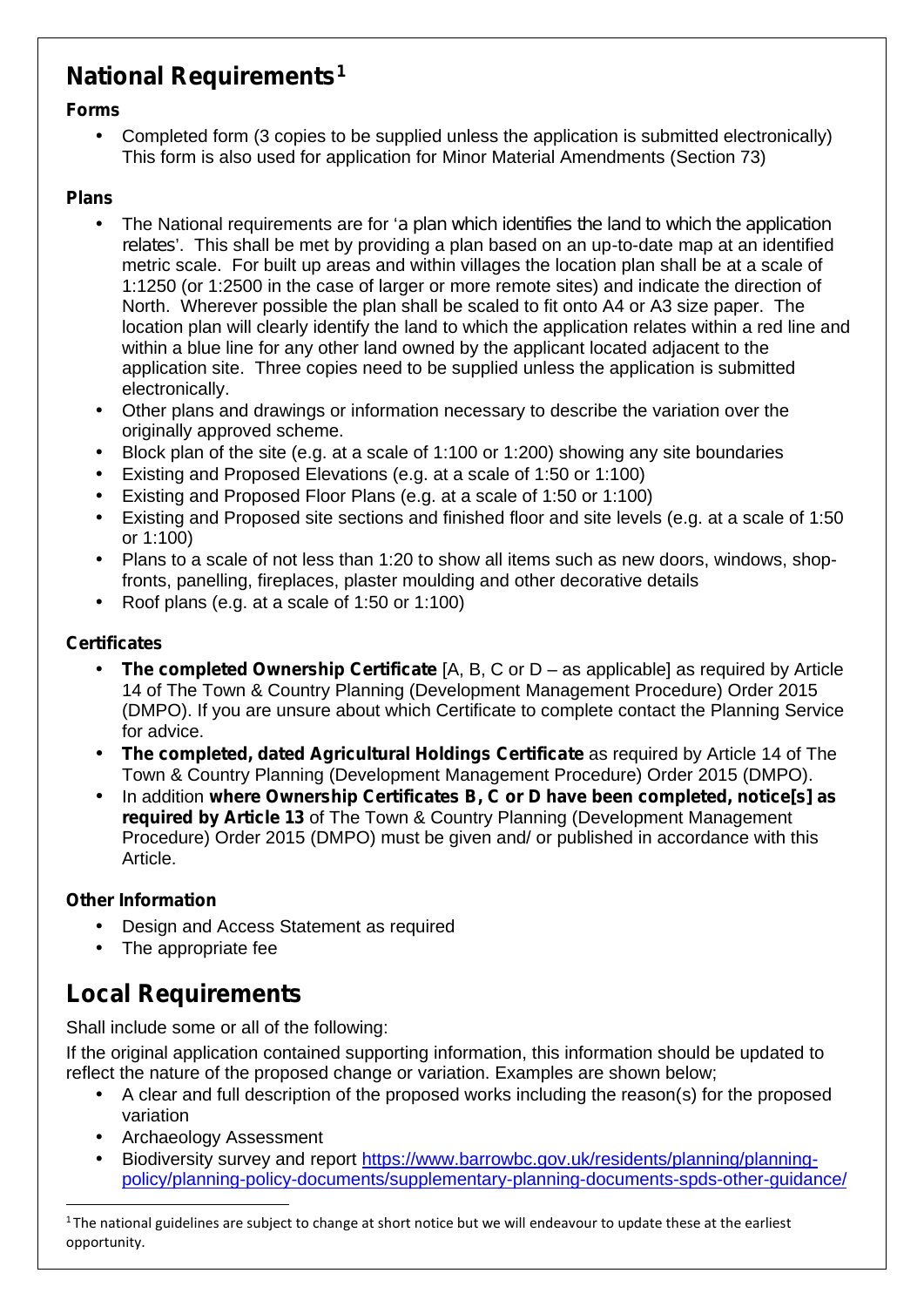## **National Requirements<sup>1</sup>**

#### **Forms**

 Completed form (3 copies to be supplied unless the application is submitted electronically) This form is also used for application for Minor Material Amendments (Section 73)

#### **Plans**

- The National requirements are for '*a plan which identifies the land to which the application relates*'. This shall be met by providing a plan based on an up-to-date map at an identified metric scale. For built up areas and within villages the location plan shall be at a scale of 1:1250 (or 1:2500 in the case of larger or more remote sites) and indicate the direction of North. Wherever possible the plan shall be scaled to fit onto A4 or A3 size paper. The location plan will clearly identify the land to which the application relates within a red line and within a blue line for any other land owned by the applicant located adjacent to the application site. Three copies need to be supplied unless the application is submitted electronically.
- Other plans and drawings or information necessary to describe the variation over the originally approved scheme.
- Block plan of the site (e.g. at a scale of 1:100 or 1:200) showing any site boundaries
- Existing and Proposed Elevations (e.g. at a scale of 1:50 or 1:100)
- Existing and Proposed Floor Plans (e.g. at a scale of 1:50 or 1:100)
- Existing and Proposed site sections and finished floor and site levels (e.g. at a scale of 1:50 or 1:100)
- Plans to a scale of not less than 1:20 to show all items such as new doors, windows, shopfronts, panelling, fireplaces, plaster moulding and other decorative details
- Roof plans (e.g. at a scale of 1:50 or 1:100)

#### **Certificates**

- **The completed Ownership Certificate** [A, B, C or D as applicable] as required by Article 14 of The Town & Country Planning (Development Management Procedure) Order 2015 (DMPO). If you are unsure about which Certificate to complete contact the Planning Service for advice.
- **The completed, dated Agricultural Holdings Certificate** as required by Article 14 of The Town & Country Planning (Development Management Procedure) Order 2015 (DMPO).
- In addition **where Ownership Certificates B, C or D have been completed, notice[s] as required by Article 13** of The Town & Country Planning (Development Management Procedure) Order 2015 (DMPO) must be given and/ or published in accordance with this Article.

#### **Other Information**

- Design and Access Statement as required
- The appropriate fee

### **Local Requirements**

Shall include some or all of the following:

If the original application contained supporting information, this information should be updated to reflect the nature of the proposed change or variation. Examples are shown below;

- A clear and full description of the proposed works including the reason(s) for the proposed variation
- Archaeology Assessment
- Biodiversity survey and report https://www.barrowbc.gov.uk/residents/planning/planning policy/planning-policy-documents/supplementary-planning-documents-spds-other-guidance/

 $1$ The national guidelines are subject to change at short notice but we will endeavour to update these at the earliest opportunity.